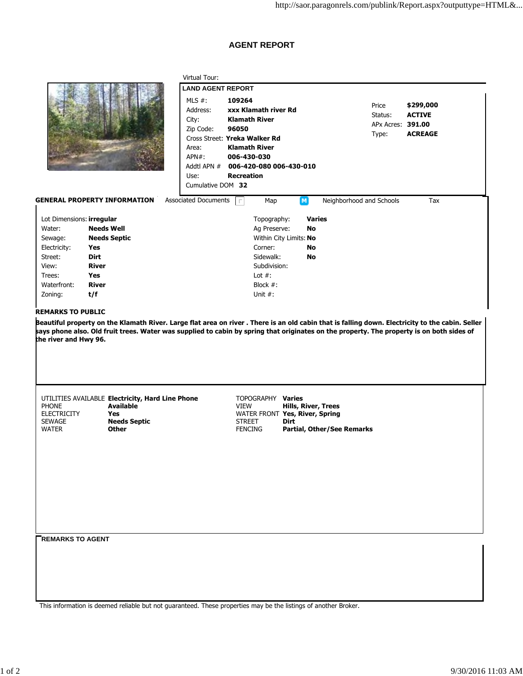## **AGENT REPORT**

Virtual Tour:



|                                        |                                                                                                                                                  | <b>LAND AGENT REPORT</b>    |                               |                                               |                          |                   |  |
|----------------------------------------|--------------------------------------------------------------------------------------------------------------------------------------------------|-----------------------------|-------------------------------|-----------------------------------------------|--------------------------|-------------------|--|
|                                        |                                                                                                                                                  | MLS $#$ :                   | 109264                        |                                               | Price                    | \$299,000         |  |
|                                        |                                                                                                                                                  | Address:                    | xxx Klamath river Rd          |                                               | Status:                  | <b>ACTIVE</b>     |  |
|                                        |                                                                                                                                                  | City:                       | <b>Klamath River</b>          |                                               |                          | APx Acres: 391.00 |  |
|                                        |                                                                                                                                                  | Zip Code:                   | 96050                         |                                               |                          | <b>ACREAGE</b>    |  |
|                                        |                                                                                                                                                  |                             | Cross Street: Yreka Walker Rd |                                               | Type:                    |                   |  |
|                                        |                                                                                                                                                  | Area:                       | <b>Klamath River</b>          |                                               |                          |                   |  |
|                                        |                                                                                                                                                  | APN#:                       | 006-430-030                   |                                               |                          |                   |  |
|                                        |                                                                                                                                                  | Addtl APN #                 | 006-420-080 006-430-010       |                                               |                          |                   |  |
|                                        |                                                                                                                                                  | Use:                        | <b>Recreation</b>             |                                               |                          |                   |  |
|                                        |                                                                                                                                                  | Cumulative DOM 32           |                               |                                               |                          |                   |  |
|                                        | <b>GENERAL PROPERTY INFORMATION</b>                                                                                                              | <b>Associated Documents</b> | Map<br>E.                     | $\boxed{M}$                                   | Neighborhood and Schools | Tax               |  |
| Lot Dimensions: irregular              |                                                                                                                                                  |                             | Topography:                   | <b>Varies</b>                                 |                          |                   |  |
| Water:                                 | <b>Needs Well</b>                                                                                                                                |                             | Ag Preserve:                  | No                                            |                          |                   |  |
| Sewage:                                | <b>Needs Septic</b>                                                                                                                              |                             |                               | Within City Limits: No                        |                          |                   |  |
| Electricity:                           | Yes                                                                                                                                              |                             | Corner:                       | No                                            |                          |                   |  |
| Street:                                | <b>Dirt</b>                                                                                                                                      |                             | Sidewalk:                     | No                                            |                          |                   |  |
| View:                                  | <b>River</b>                                                                                                                                     |                             | Subdivision:                  |                                               |                          |                   |  |
| Trees:                                 | Yes                                                                                                                                              |                             | Lot $#$ :                     |                                               |                          |                   |  |
| Waterfront:                            | <b>River</b>                                                                                                                                     |                             | Block $#$ :                   |                                               |                          |                   |  |
| Zoning:                                | t/f                                                                                                                                              |                             | Unit $#$ :                    |                                               |                          |                   |  |
|                                        |                                                                                                                                                  |                             |                               |                                               |                          |                   |  |
|                                        |                                                                                                                                                  |                             |                               |                                               |                          |                   |  |
| <b>REMARKS TO PUBLIC</b>               |                                                                                                                                                  |                             |                               |                                               |                          |                   |  |
|                                        | Beautiful property on the Klamath River. Large flat area on river . There is an old cabin that is falling down. Electricity to the cabin. Seller |                             |                               |                                               |                          |                   |  |
|                                        | says phone also. Old fruit trees. Water was supplied to cabin by spring that originates on the property. The property is on both sides of        |                             |                               |                                               |                          |                   |  |
| the river and Hwy 96.                  |                                                                                                                                                  |                             |                               |                                               |                          |                   |  |
|                                        |                                                                                                                                                  |                             |                               |                                               |                          |                   |  |
|                                        |                                                                                                                                                  |                             |                               |                                               |                          |                   |  |
|                                        |                                                                                                                                                  |                             |                               |                                               |                          |                   |  |
|                                        |                                                                                                                                                  |                             |                               |                                               |                          |                   |  |
|                                        |                                                                                                                                                  |                             |                               |                                               |                          |                   |  |
|                                        | UTILITIES AVAILABLE Electricity, Hard Line Phone                                                                                                 |                             | TOPOGRAPHY Varies             |                                               |                          |                   |  |
| <b>PHONE</b><br><b>ELECTRICITY</b>     | <b>Available</b><br><b>Yes</b>                                                                                                                   |                             | VIEW                          | <b>Hills, River, Trees</b>                    |                          |                   |  |
| <b>SEWAGE</b>                          | <b>Needs Septic</b>                                                                                                                              |                             | <b>STREET</b>                 | WATER FRONT Yes, River, Spring<br><b>Dirt</b> |                          |                   |  |
| <b>WATER</b>                           | <b>Other</b>                                                                                                                                     |                             | <b>FENCING</b>                | <b>Partial, Other/See Remarks</b>             |                          |                   |  |
|                                        |                                                                                                                                                  |                             |                               |                                               |                          |                   |  |
|                                        |                                                                                                                                                  |                             |                               |                                               |                          |                   |  |
|                                        |                                                                                                                                                  |                             |                               |                                               |                          |                   |  |
|                                        |                                                                                                                                                  |                             |                               |                                               |                          |                   |  |
|                                        |                                                                                                                                                  |                             |                               |                                               |                          |                   |  |
|                                        |                                                                                                                                                  |                             |                               |                                               |                          |                   |  |
|                                        |                                                                                                                                                  |                             |                               |                                               |                          |                   |  |
|                                        |                                                                                                                                                  |                             |                               |                                               |                          |                   |  |
|                                        |                                                                                                                                                  |                             |                               |                                               |                          |                   |  |
|                                        |                                                                                                                                                  |                             |                               |                                               |                          |                   |  |
|                                        |                                                                                                                                                  |                             |                               |                                               |                          |                   |  |
| $\mathsf{\mathsf{T}}$ REMARKS TO AGENT |                                                                                                                                                  |                             |                               |                                               |                          |                   |  |
|                                        |                                                                                                                                                  |                             |                               |                                               |                          |                   |  |
|                                        |                                                                                                                                                  |                             |                               |                                               |                          |                   |  |
|                                        |                                                                                                                                                  |                             |                               |                                               |                          |                   |  |
|                                        |                                                                                                                                                  |                             |                               |                                               |                          |                   |  |

This information is deemed reliable but not guaranteed. These properties may be the listings of another Broker.